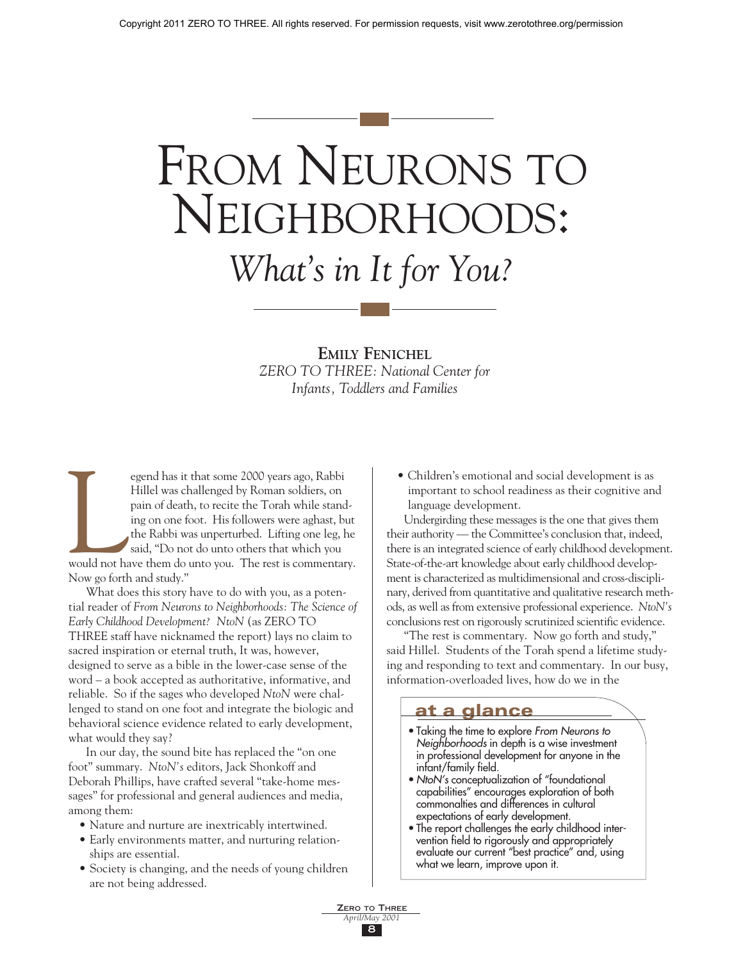# FROM NEURONS TO NEIGHBORHOODS: *What's in It for You?*

**EMILY FENICHEL** *ZERO TO THREE: National Center for Infants, Toddlers and Families*

Would not ha egend has it that some 2000 years ago, Rabbi Hillel was challenged by Roman soldiers, on pain of death, to recite the Torah while standing on one foot. His followers were aghast, but the Rabbi was unperturbed. Lifting one leg, he said, "Do not do unto others that which you would not have them do unto you. The rest is commentary. Now go forth and study."

What does this story have to do with you, as a potential reader of *From Neurons to Neighborhoods: The Science of Early Childhood Development? NtoN* (as ZERO TO THREE staff have nicknamed the report) lays no claim to sacred inspiration or eternal truth, It was, however, designed to serve as a bible in the lower-case sense of the word – a book accepted as authoritative, informative, and reliable. So if the sages who developed *NtoN* were challenged to stand on one foot and integrate the biologic and behavioral science evidence related to early development, what would they say?

In our day, the sound bite has replaced the "on one foot" summary. *NtoN's* editors, Jack Shonkoff and Deborah Phillips, have crafted several "take-home messages" for professional and general audiences and media, among them:

- Nature and nurture are inextricably intertwined.
- Early environments matter, and nurturing relationships are essential.
- Society is changing, and the needs of young children are not being addressed.

• Children's emotional and social development is as important to school readiness as their cognitive and language development.

Undergirding these messages is the one that gives them their authority — the Committee's conclusion that, indeed, there is an integrated science of early childhood development. State-of-the-art knowledge about early childhood development is characterized as multidimensional and cross-disciplinary, derived from quantitative and qualitative research methods, as well as from extensive professional experience. *NtoN's* conclusions rest on rigorously scrutinized scientific evidence.

"The rest is commentary. Now go forth and study," said Hillel. Students of the Torah spend a lifetime studying and responding to text and commentary. In our busy, information-overloaded lives, how do we in the

### **at a glance**

- Taking the time to explore *From Neurons to Neighborhoods* in depth is a wise investment in professional development for anyone in the infant/family field.
- *NtoN's* conceptualization of "foundational capabilities" encourages exploration of both commonalties and differences in cultural expectations of early development.
- The report challenges the early childhood intervention field to rigorously and appropriately evaluate our current "best practice" and, using what we learn, improve upon it.

ZERO TO THREE *April/May 2001* 8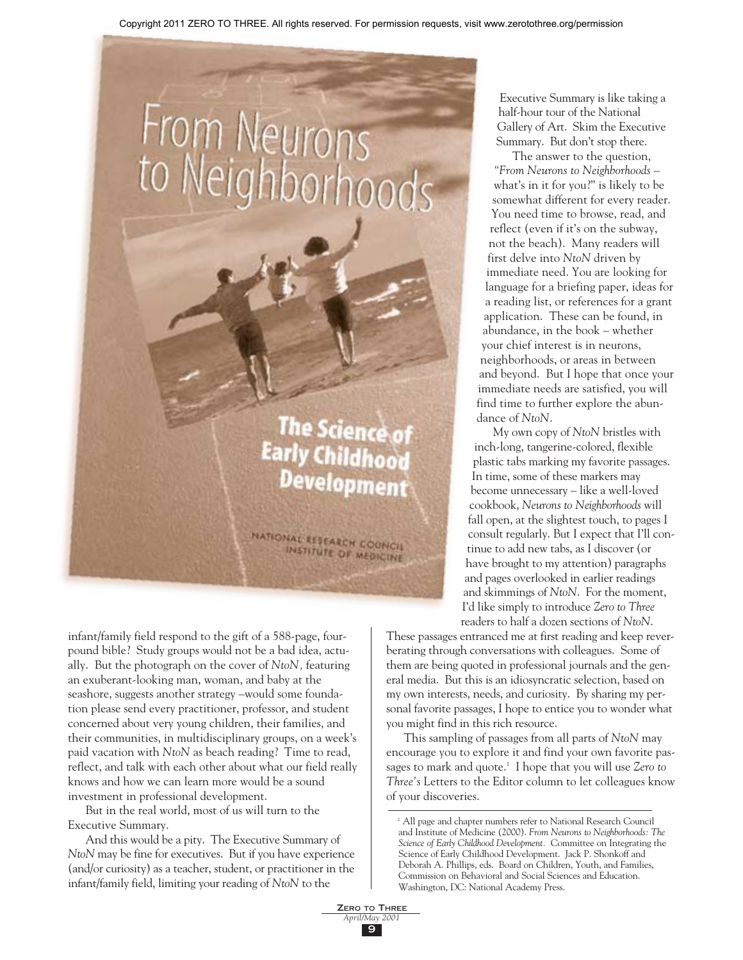

infant/family field respond to the gift of a 588-page, fourpound bible? Study groups would not be a bad idea, actually. But the photograph on the cover of *NtoN,* featuring an exuberant-looking man, woman, and baby at the seashore, suggests another strategy –would some foundation please send every practitioner, professor, and student concerned about very young children, their families, and their communities, in multidisciplinary groups, on a week's paid vacation with *NtoN* as beach reading? Time to read, reflect, and talk with each other about what our field really knows and how we can learn more would be a sound investment in professional development.

But in the real world, most of us will turn to the Executive Summary.

And this would be a pity. The Executive Summary of *NtoN* may be fine for executives. But if you have experience (and/or curiosity) as a teacher, student, or practitioner in the infant/family field, limiting your reading of *NtoN* to the

Executive Summary is like taking a half-hour tour of the National Gallery of Art. Skim the Executive Summary. But don't stop there.

The answer to the question, *"From Neurons to Neighborhoods –* what's in it for you?" is likely to be somewhat different for every reader. You need time to browse, read, and reflect (even if it's on the subway, not the beach). Many readers will first delve into *NtoN* driven by immediate need. You are looking for language for a briefing paper, ideas for a reading list, or references for a grant application. These can be found, in abundance, in the book – whether your chief interest is in neurons, neighborhoods, or areas in between and beyond. But I hope that once your immediate needs are satisfied, you will find time to further explore the abundance of *NtoN*.

My own copy of *NtoN* bristles with inch-long, tangerine-colored, flexible plastic tabs marking my favorite passages. In time, some of these markers may become unnecessary – like a well-loved cookbook, *Neurons to Neighborhoods* will fall open, at the slightest touch, to pages I consult regularly. But I expect that I'll continue to add new tabs, as I discover (or have brought to my attention) paragraphs and pages overlooked in earlier readings and skimmings of *NtoN*. For the moment, I'd like simply to introduce *Zero to Three* readers to half a dozen sections of *NtoN*.

These passages entranced me at first reading and keep reverberating through conversations with colleagues. Some of them are being quoted in professional journals and the general media. But this is an idiosyncratic selection, based on my own interests, needs, and curiosity. By sharing my personal favorite passages, I hope to entice you to wonder what you might find in this rich resource.

This sampling of passages from all parts of *NtoN* may encourage you to explore it and find your own favorite passages to mark and quote.1 I hope that you will use *Zero to Three's* Letters to the Editor column to let colleagues know of your discoveries.

<sup>&</sup>lt;sup>1</sup> All page and chapter numbers refer to National Research Council and Institute of Medicine (2000). *From Neurons to Neighborhoods: The Science of Early Childhood Development.* Committee on Integrating the Science of Early Childhood Development. Jack P. Shonkoff and Deborah A. Phillips, eds. Board on Children, Youth, and Families, Commission on Behavioral and Social Sciences and Education. Washington, DC: National Academy Press.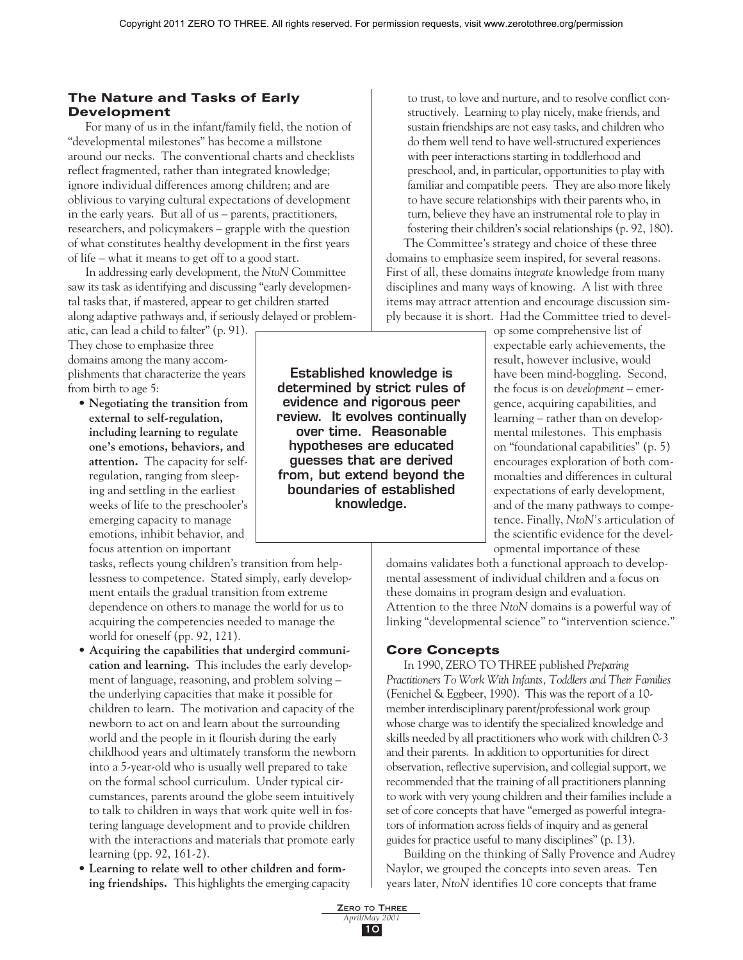**Established knowledge is determined by strict rules of evidence and rigorous peer review. It evolves continually over time. Reasonable hypotheses are educated guesses that are derived from, but extend beyond the boundaries of established knowledge.**

# **The Nature and Tasks of Early Development**

For many of us in the infant/family field, the notion of "developmental milestones" has become a millstone around our necks. The conventional charts and checklists reflect fragmented, rather than integrated knowledge; ignore individual differences among children; and are oblivious to varying cultural expectations of development in the early years. But all of us – parents, practitioners, researchers, and policymakers – grapple with the question of what constitutes healthy development in the first years of life – what it means to get off to a good start.

In addressing early development, the *NtoN* Committee saw its task as identifying and discussing "early developmental tasks that, if mastered, appear to get children started along adaptive pathways and, if seriously delayed or problem-

atic, can lead a child to falter" (p. 91). They chose to emphasize three domains among the many accomplishments that characterize the years from birth to age 5:

• **Negotiating the transition from external to self-regulation, including learning to regulate one's emotions, behaviors, and attention.** The capacity for selfregulation, ranging from sleeping and settling in the earliest weeks of life to the preschooler's emerging capacity to manage emotions, inhibit behavior, and focus attention on important

tasks, reflects young children's transition from helplessness to competence. Stated simply, early development entails the gradual transition from extreme dependence on others to manage the world for us to acquiring the competencies needed to manage the world for oneself (pp. 92, 121).

- **Acquiring the capabilities that undergird communication and learning.** This includes the early development of language, reasoning, and problem solving – the underlying capacities that make it possible for children to learn. The motivation and capacity of the newborn to act on and learn about the surrounding world and the people in it flourish during the early childhood years and ultimately transform the newborn into a 5-year-old who is usually well prepared to take on the formal school curriculum. Under typical circumstances, parents around the globe seem intuitively to talk to children in ways that work quite well in fostering language development and to provide children with the interactions and materials that promote early learning (pp. 92, 161-2).
- **Learning to relate well to other children and forming friendships.** This highlights the emerging capacity

to trust, to love and nurture, and to resolve conflict constructively. Learning to play nicely, make friends, and sustain friendships are not easy tasks, and children who do them well tend to have well-structured experiences with peer interactions starting in toddlerhood and preschool, and, in particular, opportunities to play with familiar and compatible peers. They are also more likely to have secure relationships with their parents who, in turn, believe they have an instrumental role to play in fostering their children's social relationships (p. 92, 180).

The Committee's strategy and choice of these three domains to emphasize seem inspired, for several reasons. First of all, these domains *integrate* knowledge from many disciplines and many ways of knowing. A list with three items may attract attention and encourage discussion simply because it is short. Had the Committee tried to devel-

> op some comprehensive list of expectable early achievements, the result, however inclusive, would have been mind-boggling. Second, the focus is on *development* – emergence, acquiring capabilities, and learning – rather than on developmental milestones. This emphasis on "foundational capabilities" (p. 5) encourages exploration of both commonalties and differences in cultural expectations of early development, and of the many pathways to competence. Finally, *NtoN's* articulation of the scientific evidence for the developmental importance of these

domains validates both a functional approach to developmental assessment of individual children and a focus on these domains in program design and evaluation. Attention to the three *NtoN* domains is a powerful way of linking "developmental science" to "intervention science."

# **Core Concepts**

In 1990, ZERO TO THREE published *Preparing Practitioners To Work With Infants, Toddlers and Their Families* (Fenichel & Eggbeer, 1990). This was the report of a 10 member interdisciplinary parent/professional work group whose charge was to identify the specialized knowledge and skills needed by all practitioners who work with children 0-3 and their parents. In addition to opportunities for direct observation, reflective supervision, and collegial support, we recommended that the training of all practitioners planning to work with very young children and their families include a set of core concepts that have "emerged as powerful integrators of information across fields of inquiry and as general guides for practice useful to many disciplines" (p. 13).

Building on the thinking of Sally Provence and Audrey Naylor, we grouped the concepts into seven areas. Ten years later, *NtoN* identifies 10 core concepts that frame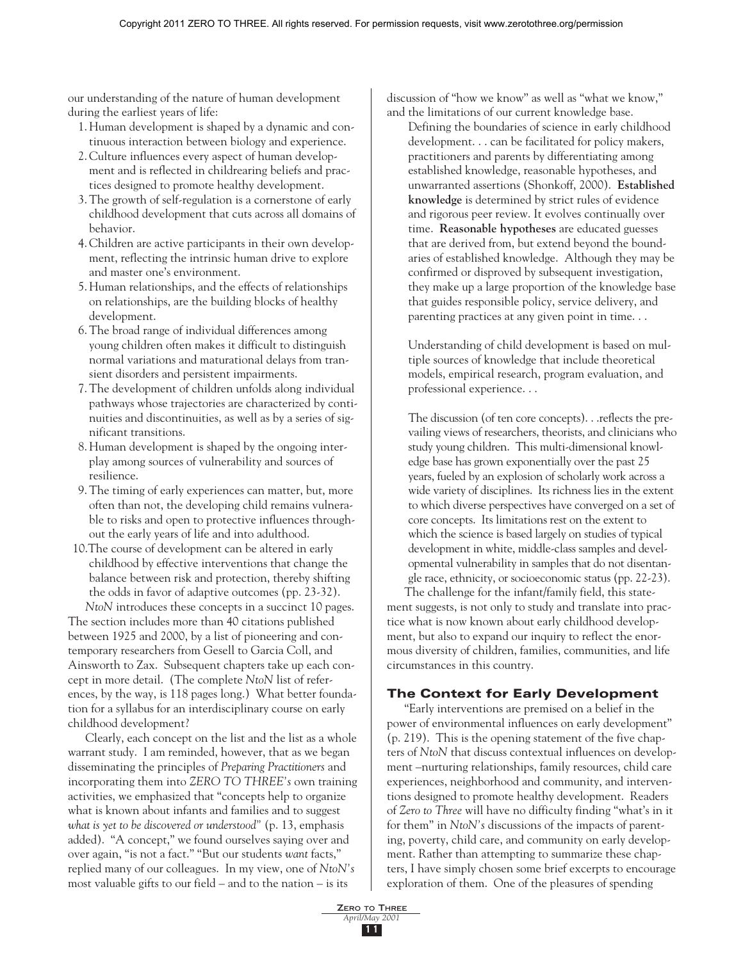our understanding of the nature of human development during the earliest years of life:

- 1. Human development is shaped by a dynamic and continuous interaction between biology and experience.
- 2. Culture influences every aspect of human development and is reflected in childrearing beliefs and practices designed to promote healthy development.
- 3. The growth of self-regulation is a cornerstone of early childhood development that cuts across all domains of behavior.
- 4. Children are active participants in their own development, reflecting the intrinsic human drive to explore and master one's environment.
- 5. Human relationships, and the effects of relationships on relationships, are the building blocks of healthy development.
- 6. The broad range of individual differences among young children often makes it difficult to distinguish normal variations and maturational delays from transient disorders and persistent impairments.
- 7. The development of children unfolds along individual pathways whose trajectories are characterized by continuities and discontinuities, as well as by a series of significant transitions.
- 8. Human development is shaped by the ongoing interplay among sources of vulnerability and sources of resilience.
- 9. The timing of early experiences can matter, but, more often than not, the developing child remains vulnerable to risks and open to protective influences throughout the early years of life and into adulthood.
- 10.The course of development can be altered in early childhood by effective interventions that change the balance between risk and protection, thereby shifting the odds in favor of adaptive outcomes (pp. 23-32).

*NtoN* introduces these concepts in a succinct 10 pages. The section includes more than 40 citations published between 1925 and 2000, by a list of pioneering and contemporary researchers from Gesell to Garcia Coll, and Ainsworth to Zax. Subsequent chapters take up each concept in more detail. (The complete *NtoN* list of references, by the way, is 118 pages long.) What better foundation for a syllabus for an interdisciplinary course on early childhood development?

Clearly, each concept on the list and the list as a whole warrant study. I am reminded, however, that as we began disseminating the principles of *Preparing Practitioners* and incorporating them into *ZERO TO THREE's* own training activities, we emphasized that "concepts help to organize what is known about infants and families and to suggest *what is yet to be discovered or understood"* (p. 13, emphasis added). "A concept," we found ourselves saying over and over again, "is not a fact." "But our students *want* facts," replied many of our colleagues. In my view, one of *NtoN's* most valuable gifts to our field – and to the nation – is its

discussion of "how we know" as well as "what we know," and the limitations of our current knowledge base.

Defining the boundaries of science in early childhood development. . . can be facilitated for policy makers, practitioners and parents by differentiating among established knowledge, reasonable hypotheses, and unwarranted assertions (Shonkoff, 2000). **Established knowledge** is determined by strict rules of evidence and rigorous peer review. It evolves continually over time. **Reasonable hypotheses** are educated guesses that are derived from, but extend beyond the boundaries of established knowledge. Although they may be confirmed or disproved by subsequent investigation, they make up a large proportion of the knowledge base that guides responsible policy, service delivery, and parenting practices at any given point in time. . .

Understanding of child development is based on multiple sources of knowledge that include theoretical models, empirical research, program evaluation, and professional experience. . .

The discussion (of ten core concepts). . .reflects the prevailing views of researchers, theorists, and clinicians who study young children. This multi-dimensional knowledge base has grown exponentially over the past 25 years, fueled by an explosion of scholarly work across a wide variety of disciplines. Its richness lies in the extent to which diverse perspectives have converged on a set of core concepts. Its limitations rest on the extent to which the science is based largely on studies of typical development in white, middle-class samples and developmental vulnerability in samples that do not disentangle race, ethnicity, or socioeconomic status (pp. 22-23).

The challenge for the infant/family field, this statement suggests, is not only to study and translate into practice what is now known about early childhood development, but also to expand our inquiry to reflect the enormous diversity of children, families, communities, and life circumstances in this country.

# **The Context for Early Development**

"Early interventions are premised on a belief in the power of environmental influences on early development" (p. 219). This is the opening statement of the five chapters of *NtoN* that discuss contextual influences on development –nurturing relationships, family resources, child care experiences, neighborhood and community, and interventions designed to promote healthy development. Readers of *Zero to Three* will have no difficulty finding "what's in it for them" in *NtoN's* discussions of the impacts of parenting, poverty, child care, and community on early development. Rather than attempting to summarize these chapters, I have simply chosen some brief excerpts to encourage exploration of them. One of the pleasures of spending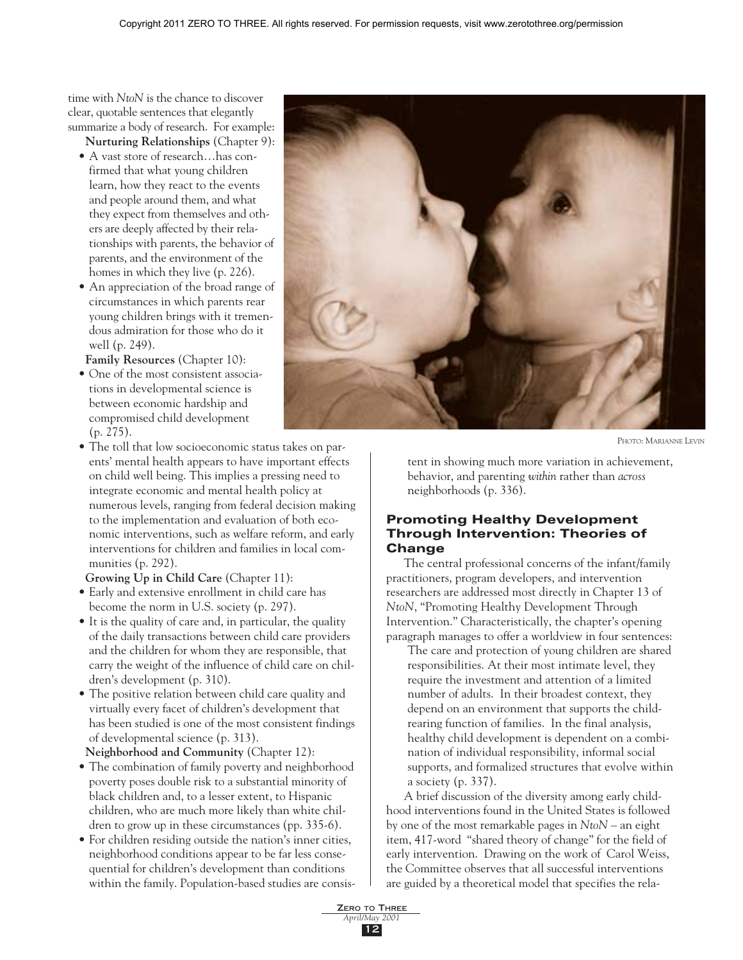time with *NtoN* is the chance to discover clear, quotable sentences that elegantly summarize a body of research. For example:

**Nurturing Relationships** (Chapter 9):

- A vast store of research…has confirmed that what young children learn, how they react to the events and people around them, and what they expect from themselves and others are deeply affected by their relationships with parents, the behavior of parents, and the environment of the homes in which they live (p. 226).
- An appreciation of the broad range of circumstances in which parents rear young children brings with it tremendous admiration for those who do it well (p. 249).

**Family Resources** (Chapter 10):

- One of the most consistent associations in developmental science is between economic hardship and compromised child development (p. 275).
- The toll that low socioeconomic status takes on parents' mental health appears to have important effects on child well being. This implies a pressing need to integrate economic and mental health policy at numerous levels, ranging from federal decision making to the implementation and evaluation of both economic interventions, such as welfare reform, and early interventions for children and families in local communities (p. 292).

**Growing Up in Child Care** (Chapter 11):

- Early and extensive enrollment in child care has become the norm in U.S. society (p. 297).
- It is the quality of care and, in particular, the quality of the daily transactions between child care providers and the children for whom they are responsible, that carry the weight of the influence of child care on children's development (p. 310).
- The positive relation between child care quality and virtually every facet of children's development that has been studied is one of the most consistent findings of developmental science (p. 313).

**Neighborhood and Community** (Chapter 12):

- The combination of family poverty and neighborhood poverty poses double risk to a substantial minority of black children and, to a lesser extent, to Hispanic children, who are much more likely than white children to grow up in these circumstances (pp. 335-6).
- For children residing outside the nation's inner cities, neighborhood conditions appear to be far less consequential for children's development than conditions within the family. Population-based studies are consis-



PHOTO: MARIANNE LEVIN

tent in showing much more variation in achievement, behavior, and parenting *within* rather than *across* neighborhoods (p. 336).

# **Promoting Healthy Development Through Intervention: Theories of Change**

The central professional concerns of the infant/family practitioners, program developers, and intervention researchers are addressed most directly in Chapter 13 of *NtoN*, "Promoting Healthy Development Through Intervention." Characteristically, the chapter's opening paragraph manages to offer a worldview in four sentences:

The care and protection of young children are shared responsibilities. At their most intimate level, they require the investment and attention of a limited number of adults. In their broadest context, they depend on an environment that supports the childrearing function of families. In the final analysis, healthy child development is dependent on a combination of individual responsibility, informal social supports, and formalized structures that evolve within a society (p. 337).

A brief discussion of the diversity among early childhood interventions found in the United States is followed by one of the most remarkable pages in *NtoN* – an eight item, 417-word "shared theory of change" for the field of early intervention. Drawing on the work of Carol Weiss, the Committee observes that all successful interventions are guided by a theoretical model that specifies the rela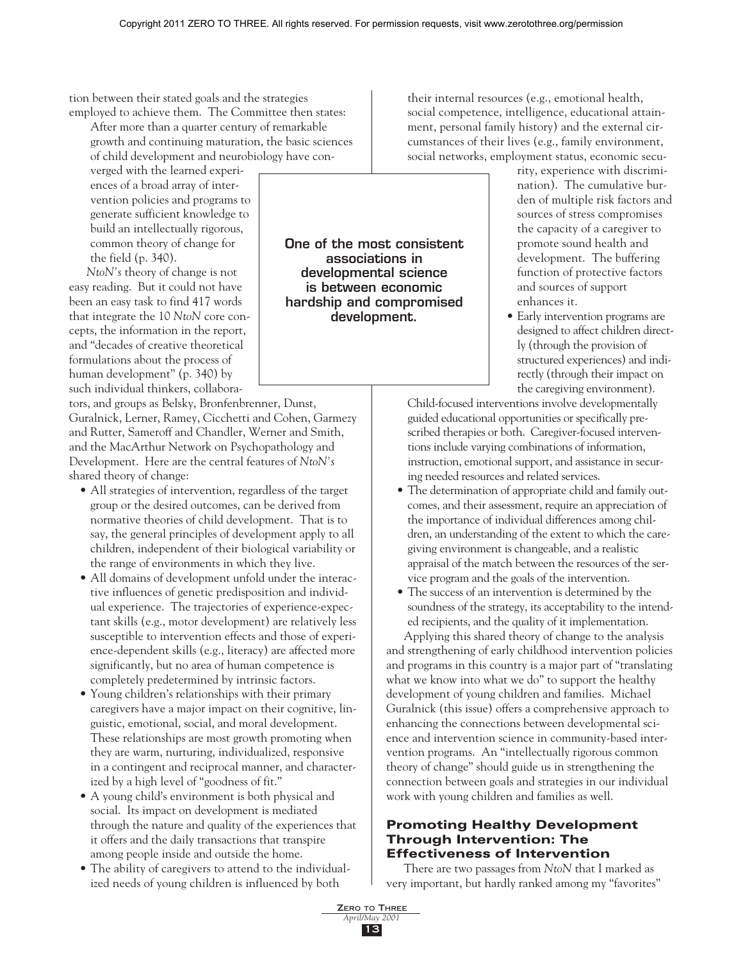tion between their stated goals and the strategies employed to achieve them. The Committee then states:

After more than a quarter century of remarkable growth and continuing maturation, the basic sciences of child development and neurobiology have con-

verged with the learned experiences of a broad array of intervention policies and programs to generate sufficient knowledge to build an intellectually rigorous, common theory of change for the field (p. 340).

*NtoN's* theory of change is not easy reading. But it could not have been an easy task to find 417 words that integrate the 10 *NtoN* core concepts, the information in the report, and "decades of creative theoretical formulations about the process of human development" (p. 340) by such individual thinkers, collabora-

tors, and groups as Belsky, Bronfenbrenner, Dunst, Guralnick, Lerner, Ramey, Cicchetti and Cohen, Garmezy and Rutter, Sameroff and Chandler, Werner and Smith, and the MacArthur Network on Psychopathology and Development. Here are the central features of *NtoN's* shared theory of change:

- All strategies of intervention, regardless of the target group or the desired outcomes, can be derived from normative theories of child development. That is to say, the general principles of development apply to all children, independent of their biological variability or the range of environments in which they live.
- All domains of development unfold under the interactive influences of genetic predisposition and individual experience. The trajectories of experience-expectant skills (e.g., motor development) are relatively less susceptible to intervention effects and those of experience-dependent skills (e.g., literacy) are affected more significantly, but no area of human competence is completely predetermined by intrinsic factors.
- Young children's relationships with their primary caregivers have a major impact on their cognitive, linguistic, emotional, social, and moral development. These relationships are most growth promoting when they are warm, nurturing, individualized, responsive in a contingent and reciprocal manner, and characterized by a high level of "goodness of fit."
- A young child's environment is both physical and social. Its impact on development is mediated through the nature and quality of the experiences that it offers and the daily transactions that transpire among people inside and outside the home.
- The ability of caregivers to attend to the individualized needs of young children is influenced by both

**One of the most consistent associations in developmental science is between economic hardship and compromised development.**

their internal resources (e.g., emotional health, social competence, intelligence, educational attainment, personal family history) and the external circumstances of their lives (e.g., family environment, social networks, employment status, economic secu-

> rity, experience with discrimination). The cumulative burden of multiple risk factors and sources of stress compromises the capacity of a caregiver to promote sound health and development. The buffering function of protective factors and sources of support enhances it.

• Early intervention programs are designed to affect children directly (through the provision of structured experiences) and indirectly (through their impact on the caregiving environment).

Child-focused interventions involve developmentally guided educational opportunities or specifically prescribed therapies or both. Caregiver-focused interventions include varying combinations of information, instruction, emotional support, and assistance in securing needed resources and related services.

- The determination of appropriate child and family outcomes, and their assessment, require an appreciation of the importance of individual differences among children, an understanding of the extent to which the caregiving environment is changeable, and a realistic appraisal of the match between the resources of the service program and the goals of the intervention.
- The success of an intervention is determined by the soundness of the strategy, its acceptability to the intended recipients, and the quality of it implementation. Applying this shared theory of change to the analysis

and strengthening of early childhood intervention policies and programs in this country is a major part of "translating what we know into what we do" to support the healthy development of young children and families. Michael Guralnick (this issue) offers a comprehensive approach to enhancing the connections between developmental science and intervention science in community-based intervention programs. An "intellectually rigorous common theory of change" should guide us in strengthening the connection between goals and strategies in our individual work with young children and families as well.

# **Promoting Healthy Development Through Intervention: The Effectiveness of Intervention**

There are two passages from *NtoN* that I marked as very important, but hardly ranked among my "favorites"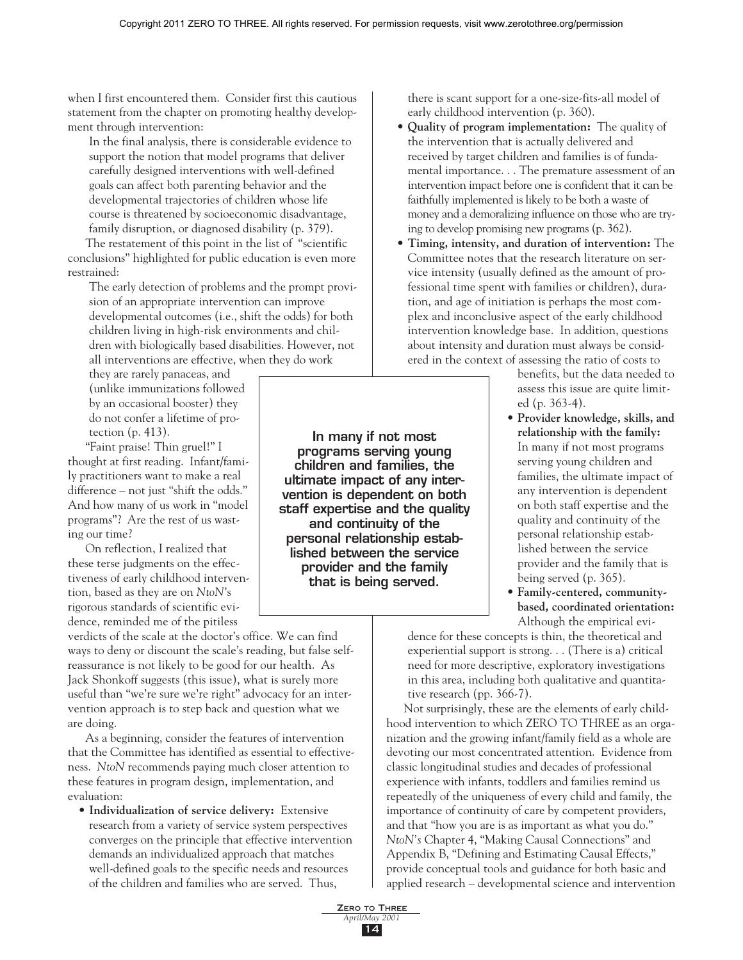when I first encountered them. Consider first this cautious statement from the chapter on promoting healthy development through intervention:

In the final analysis, there is considerable evidence to support the notion that model programs that deliver carefully designed interventions with well-defined goals can affect both parenting behavior and the developmental trajectories of children whose life course is threatened by socioeconomic disadvantage, family disruption, or diagnosed disability (p. 379).

The restatement of this point in the list of "scientific conclusions" highlighted for public education is even more restrained:

The early detection of problems and the prompt provision of an appropriate intervention can improve developmental outcomes (i.e., shift the odds) for both children living in high-risk environments and children with biologically based disabilities. However, not all interventions are effective, when they do work

they are rarely panaceas, and (unlike immunizations followed by an occasional booster) they do not confer a lifetime of protection (p. 413).

"Faint praise! Thin gruel!" I thought at first reading. Infant/family practitioners want to make a real difference – not just "shift the odds." And how many of us work in "model programs"? Are the rest of us wasting our time?

On reflection, I realized that these terse judgments on the effectiveness of early childhood intervention, based as they are on *NtoN*'s rigorous standards of scientific evidence, reminded me of the pitiless

verdicts of the scale at the doctor's office. We can find ways to deny or discount the scale's reading, but false selfreassurance is not likely to be good for our health. As Jack Shonkoff suggests (this issue), what is surely more useful than "we're sure we're right" advocacy for an intervention approach is to step back and question what we are doing.

As a beginning, consider the features of intervention that the Committee has identified as essential to effectiveness. *NtoN* recommends paying much closer attention to these features in program design, implementation, and evaluation:

• **Individualization of service delivery:** Extensive research from a variety of service system perspectives converges on the principle that effective intervention demands an individualized approach that matches well-defined goals to the specific needs and resources of the children and families who are served. Thus,

**In many if not most programs serving young children and families, the ultimate impact of any intervention is dependent on both staff expertise and the quality and continuity of the personal relationship established between the service provider and the family that is being served.**

there is scant support for a one-size-fits-all model of early childhood intervention (p. 360).

- **Quality of program implementation:** The quality of the intervention that is actually delivered and received by target children and families is of fundamental importance. . . The premature assessment of an intervention impact before one is confident that it can be faithfully implemented is likely to be both a waste of money and a demoralizing influence on those who are trying to develop promising new programs (p. 362).
- **Timing, intensity, and duration of intervention:** The Committee notes that the research literature on service intensity (usually defined as the amount of professional time spent with families or children), duration, and age of initiation is perhaps the most complex and inconclusive aspect of the early childhood intervention knowledge base. In addition, questions about intensity and duration must always be considered in the context of assessing the ratio of costs to

benefits, but the data needed to assess this issue are quite limited (p. 363-4).

- **Provider knowledge, skills, and relationship with the family:** In many if not most programs serving young children and families, the ultimate impact of any intervention is dependent on both staff expertise and the quality and continuity of the personal relationship established between the service provider and the family that is being served (p. 365).
- **Family-centered, communitybased, coordinated orientation:** Although the empirical evi-

dence for these concepts is thin, the theoretical and experiential support is strong. . . (There is a) critical need for more descriptive, exploratory investigations in this area, including both qualitative and quantitative research (pp. 366-7).

Not surprisingly, these are the elements of early childhood intervention to which ZERO TO THREE as an organization and the growing infant/family field as a whole are devoting our most concentrated attention. Evidence from classic longitudinal studies and decades of professional experience with infants, toddlers and families remind us repeatedly of the uniqueness of every child and family, the importance of continuity of care by competent providers, and that "how you are is as important as what you do." *NtoN's* Chapter 4, "Making Causal Connections" and Appendix B, "Defining and Estimating Causal Effects," provide conceptual tools and guidance for both basic and applied research – developmental science and intervention